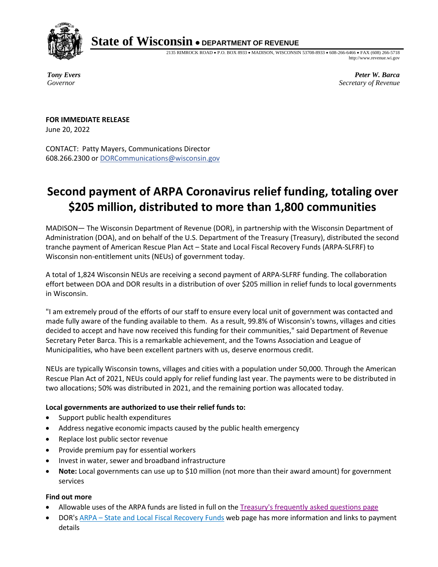

## **State of Wisconsin** • **DEPARTMENT OF REVENUE**

2135 RIMROCK ROAD • P.O. BOX 8933 • MADISON, WISCONSIN 53708-8933 • 608-266-6466 • FAX (608) 266-5718 http://www.revenue.wi.gov

*Tony Evers Governor*

*Peter W. Barca Secretary of Revenue*

**FOR IMMEDIATE RELEASE** June 20, 2022

CONTACT: Patty Mayers, Communications Director 608.266.2300 or [DORCommunications@wisconsin.gov](mailto:DORCommunications@wisconsin.gov)

## **Second payment of ARPA Coronavirus relief funding, totaling over \$205 million, distributed to more than 1,800 communities**

MADISON— The Wisconsin Department of Revenue (DOR), in partnership with the Wisconsin Department of Administration (DOA), and on behalf of the U.S. Department of the Treasury (Treasury), distributed the second tranche payment of American Rescue Plan Act – State and Local Fiscal Recovery Funds (ARPA-SLFRF) to Wisconsin non-entitlement units (NEUs) of government today.

A total of 1,824 Wisconsin NEUs are receiving a second payment of ARPA-SLFRF funding. The collaboration effort between DOA and DOR results in a distribution of over \$205 million in relief funds to local governments in Wisconsin.

"I am extremely proud of the efforts of our staff to ensure every local unit of government was contacted and made fully aware of the funding available to them. As a result, 99.8% of Wisconsin's towns, villages and cities decided to accept and have now received this funding for their communities," said Department of Revenue Secretary Peter Barca. This is a remarkable achievement, and the Towns Association and League of Municipalities, who have been excellent partners with us, deserve enormous credit.

NEUs are typically Wisconsin towns, villages and cities with a population under 50,000. Through the American Rescue Plan Act of 2021, NEUs could apply for relief funding last year. The payments were to be distributed in two allocations; 50% was distributed in 2021, and the remaining portion was allocated today.

## **Local governments are authorized to use their relief funds to:**

- Support public health expenditures
- Address negative economic impacts caused by the public health emergency
- Replace lost public sector revenue
- Provide premium pay for essential workers
- Invest in water, sewer and broadband infrastructure
- **Note:** Local governments can use up to \$10 million (not more than their award amount) for government services

## **Find out more**

- Allowable uses of the ARPA funds are listed in full on the [Treasury's frequently asked](https://home.treasury.gov/system/files/136/SLFRPFAQ.pdf) questions page
- DOR's ARPA [State and Local Fiscal Recovery Funds](https://www.revenue.wi.gov/Pages/SLF/ARPA.aspx) web page has more information and links to payment details